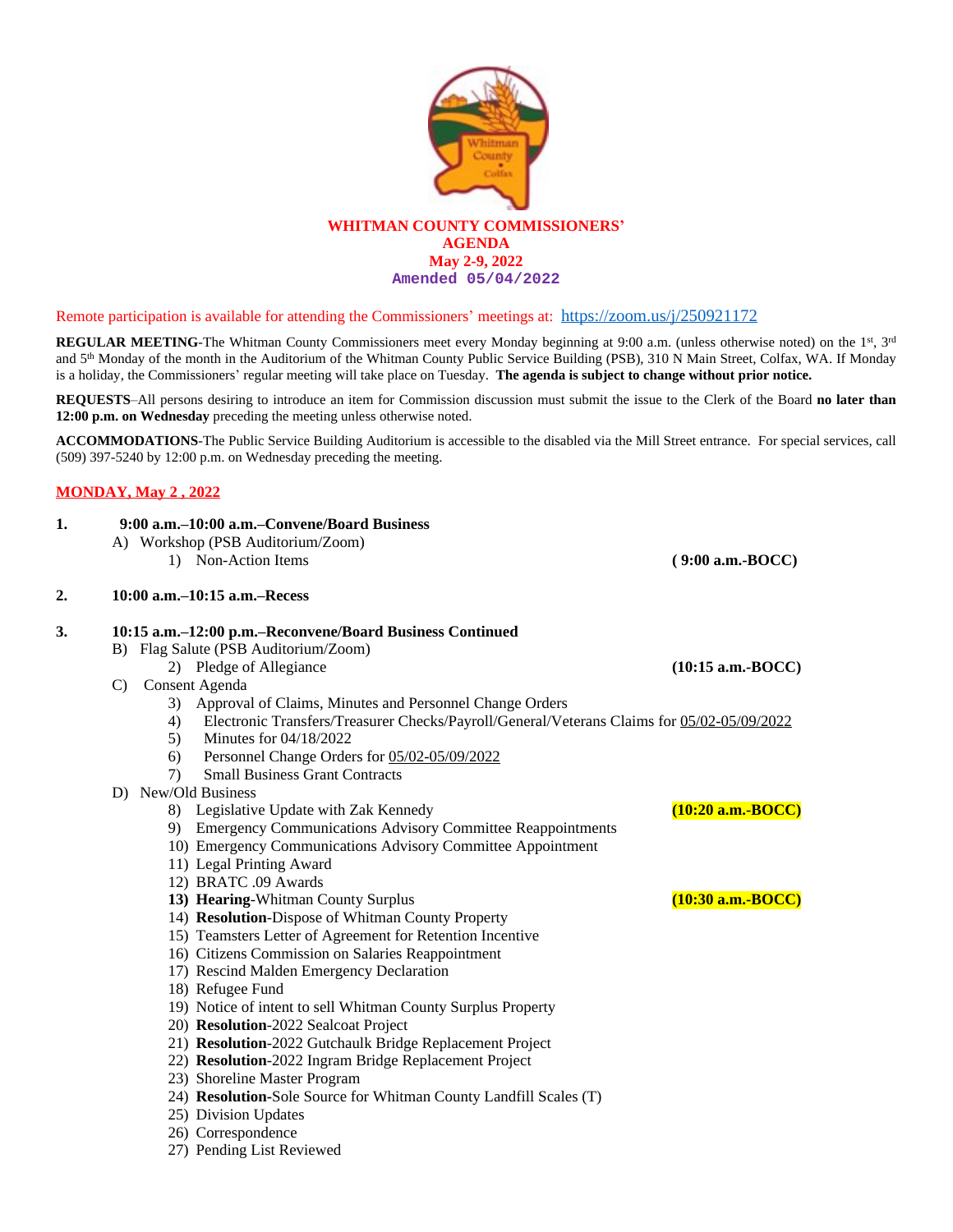

## Remote participation is available for attending the Commissioners' meetings at: <https://zoom.us/j/250921172>

**REGULAR MEETING**-The Whitman County Commissioners meet every Monday beginning at 9:00 a.m. (unless otherwise noted) on the 1<sup>st</sup>, 3<sup>rd</sup> and 5<sup>th</sup> Monday of the month in the Auditorium of the Whitman County Public Service Building (PSB), 310 N Main Street, Colfax, WA. If Monday is a holiday, the Commissioners' regular meeting will take place on Tuesday. **The agenda is subject to change without prior notice.**

**REQUESTS**–All persons desiring to introduce an item for Commission discussion must submit the issue to the Clerk of the Board **no later than 12:00 p.m. on Wednesday** preceding the meeting unless otherwise noted.

**ACCOMMODATIONS**-The Public Service Building Auditorium is accessible to the disabled via the Mill Street entrance. For special services, call (509) 397-5240 by 12:00 p.m. on Wednesday preceding the meeting.

## **MONDAY, May 2 , 2022**

| 1. | 9:00 a.m.–10:00 a.m.–Convene/Board Business                                                                                      |                     |
|----|----------------------------------------------------------------------------------------------------------------------------------|---------------------|
|    | A) Workshop (PSB Auditorium/Zoom)                                                                                                |                     |
|    | 1) Non-Action Items                                                                                                              | $(9:00 a.m.-BOCC)$  |
| 2. | 10:00 a.m.-10:15 a.m.-Recess                                                                                                     |                     |
| 3. | 10:15 a.m.–12:00 p.m.–Reconvene/Board Business Continued                                                                         |                     |
|    | B) Flag Salute (PSB Auditorium/Zoom)                                                                                             |                     |
|    | 2) Pledge of Allegiance                                                                                                          | $(10:15$ a.m.-BOCC) |
|    | Consent Agenda<br>$\mathbf{C}$                                                                                                   |                     |
|    | 3) Approval of Claims, Minutes and Personnel Change Orders                                                                       |                     |
|    | Electronic Transfers/Treasurer Checks/Payroll/General/Veterans Claims for 05/02-05/09/2022<br>4)<br>Minutes for 04/18/2022<br>5) |                     |
|    | Personnel Change Orders for 05/02-05/09/2022<br>6)                                                                               |                     |
|    | <b>Small Business Grant Contracts</b><br>7)                                                                                      |                     |
|    | D) New/Old Business                                                                                                              |                     |
|    | 8) Legislative Update with Zak Kennedy                                                                                           | $(10:20$ a.m.-BOCC) |
|    | 9) Emergency Communications Advisory Committee Reappointments                                                                    |                     |
|    | 10) Emergency Communications Advisory Committee Appointment                                                                      |                     |
|    | 11) Legal Printing Award                                                                                                         |                     |
|    | 12) BRATC .09 Awards                                                                                                             |                     |
|    | 13) Hearing-Whitman County Surplus                                                                                               | $(10:30$ a.m.-BOCC) |
|    | 14) Resolution-Dispose of Whitman County Property                                                                                |                     |
|    | 15) Teamsters Letter of Agreement for Retention Incentive                                                                        |                     |
|    | 16) Citizens Commission on Salaries Reappointment                                                                                |                     |
|    | 17) Rescind Malden Emergency Declaration                                                                                         |                     |
|    | 18) Refugee Fund                                                                                                                 |                     |
|    | 19) Notice of intent to sell Whitman County Surplus Property                                                                     |                     |
|    | 20) Resolution-2022 Sealcoat Project                                                                                             |                     |
|    | 21) Resolution-2022 Gutchaulk Bridge Replacement Project                                                                         |                     |
|    | 22) Resolution-2022 Ingram Bridge Replacement Project                                                                            |                     |
|    | 23) Shoreline Master Program                                                                                                     |                     |
|    | 24) Resolution-Sole Source for Whitman County Landfill Scales (T)                                                                |                     |
|    | 25) Division Updates                                                                                                             |                     |

- 26) Correspondence
- 27) Pending List Reviewed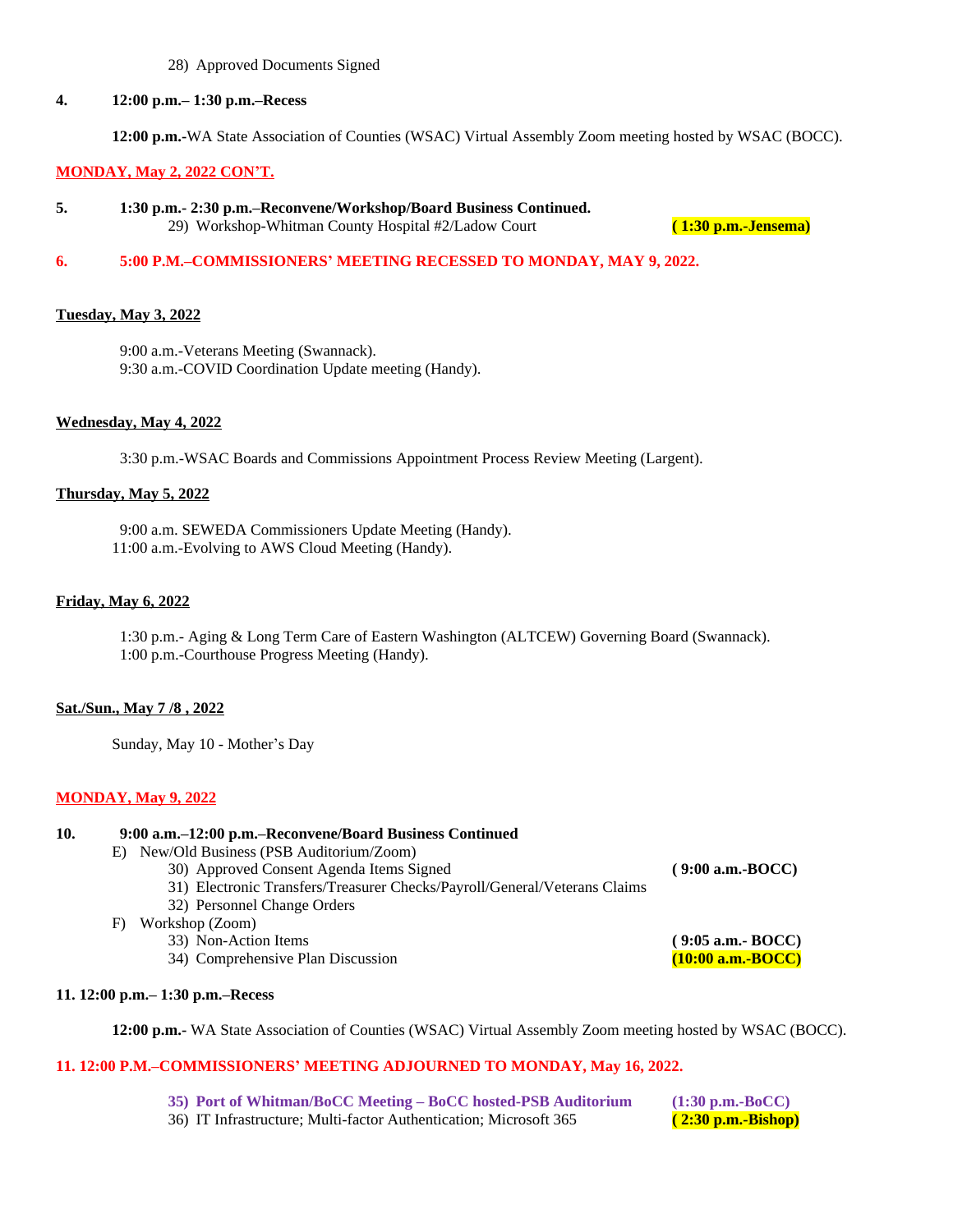### 28) Approved Documents Signed

### **4. 12:00 p.m.– 1:30 p.m.–Recess**

**12:00 p.m.-**WA State Association of Counties (WSAC) Virtual Assembly Zoom meeting hosted by WSAC (BOCC).

### **MONDAY, May 2, 2022 CON'T.**

**5. 1:30 p.m.- 2:30 p.m.–Reconvene/Workshop/Board Business Continued.** 29) Workshop-Whitman County Hospital #2/Ladow Court **( 1:30 p.m.-Jensema)**

## **6. 5:00 P.M.–COMMISSIONERS' MEETING RECESSED TO MONDAY, MAY 9, 2022.**

### **Tuesday, May 3, 2022**

 9:00 a.m.-Veterans Meeting (Swannack). 9:30 a.m.-COVID Coordination Update meeting (Handy).

#### **Wednesday, May 4, 2022**

3:30 p.m.-WSAC Boards and Commissions Appointment Process Review Meeting (Largent).

### **Thursday, May 5, 2022**

9:00 a.m. SEWEDA Commissioners Update Meeting (Handy). 11:00 a.m.-Evolving to AWS Cloud Meeting (Handy).

# **Friday, May 6, 2022**

1:30 p.m.- Aging & Long Term Care of Eastern Washington (ALTCEW) Governing Board (Swannack). 1:00 p.m.-Courthouse Progress Meeting (Handy).

#### **Sat./Sun., May 7 /8 , 2022**

Sunday, May 10 - Mother's Day

### **MONDAY, May 9, 2022**

#### **10. 9:00 a.m.–12:00 p.m.–Reconvene/Board Business Continued**

E) New/Old Business (PSB Auditorium/Zoom)

30) Approved Consent Agenda Items Signed **( 9:00 a.m.-BOCC)**

- 31) Electronic Transfers/Treasurer Checks/Payroll/General/Veterans Claims
- 32) Personnel Change Orders
- F) Workshop (Zoom)
	- - 34) Comprehensive Plan Discussion

**11. 12:00 p.m.– 1:30 p.m.–Recess**

**12:00 p.m.-** WA State Association of Counties (WSAC) Virtual Assembly Zoom meeting hosted by WSAC (BOCC).

# **11. 12:00 P.M.–COMMISSIONERS' MEETING ADJOURNED TO MONDAY, May 16, 2022.**

**35) Port of Whitman/BoCC Meeting – BoCC hosted-PSB Auditorium (1:30 p.m.-BoCC)**<br>36) IT Infrastructure; Multi-factor Authentication; Microsoft 365 (2:30 p.m.-Bishop)

36) IT Infrastructure; Multi-factor Authentication; Microsoft 365 **( 2:30 p.m.-Bishop)**

33) Non-Action Items (9:05 a.m.- **BOCC**)<br>34) Comprehensive Plan Discussion (10:00 a.m.- **BOCC**)